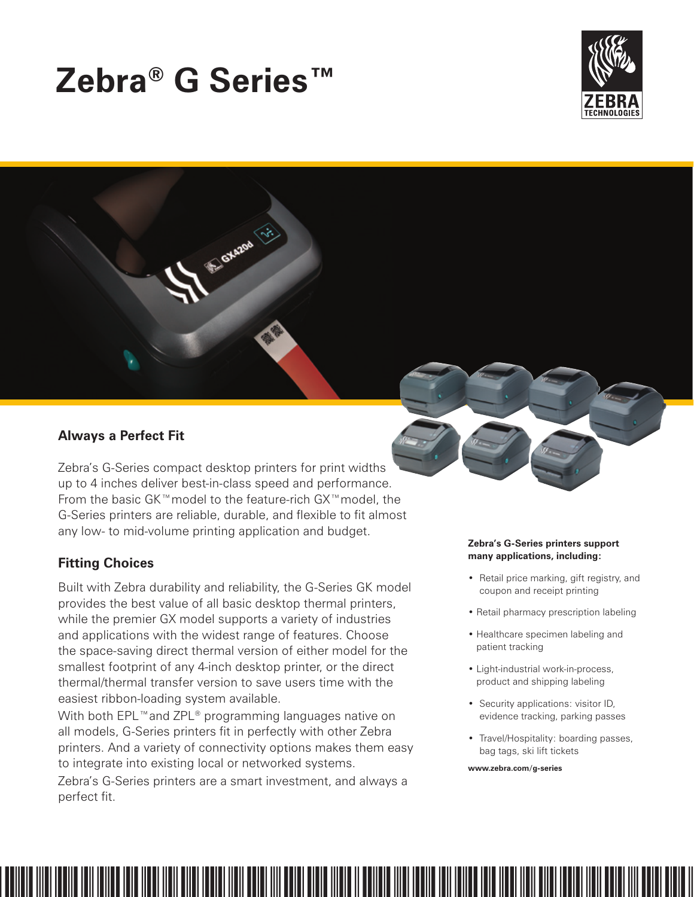# **Zebra® G Series™**



# **Always a Perfect Fit**

Zebra's G-Series compact desktop printers for print widths up to 4 inches deliver best-in-class speed and performance. From the basic GK™model to the feature-rich GX™model, the G-Series printers are reliable, durable, and flexible to fit almost any low- to mid-volume printing application and budget.

E GLAZGA (17)

# **Fitting Choices**

Built with Zebra durability and reliability, the G-Series GK model provides the best value of all basic desktop thermal printers, while the premier GX model supports a variety of industries and applications with the widest range of features. Choose the space-saving direct thermal version of either model for the smallest footprint of any 4-inch desktop printer, or the direct thermal/thermal transfer version to save users time with the easiest ribbon-loading system available.

With both EPL™and ZPL® programming languages native on all models, G-Series printers fit in perfectly with other Zebra printers. And a variety of connectivity options makes them easy to integrate into existing local or networked systems.

Zebra's G-Series printers are a smart investment, and always a perfect fit.



### **Zebra's G-Series printers support many applications, including:**

- Retail price marking, gift registry, and coupon and receipt printing
- Retail pharmacy prescription labeling
- Healthcare specimen labeling and patient tracking
- Light-industrial work-in-process, product and shipping labeling
- Security applications: visitor ID, evidence tracking, parking passes
- Travel/Hospitality: boarding passes, bag tags, ski lift tickets

**www.zebra.com/g-series**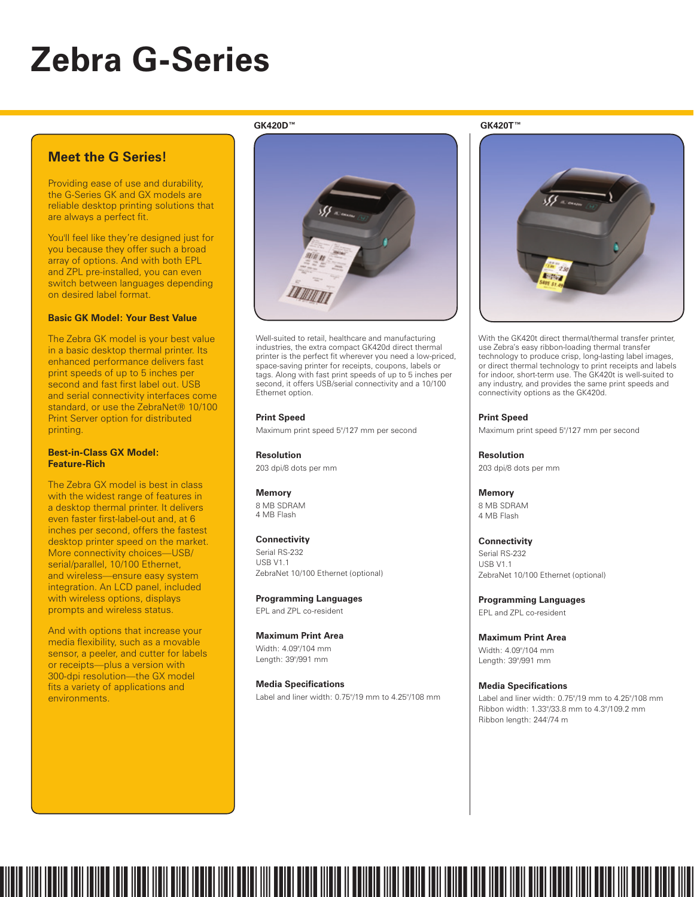# **Zebra G-Series**

# **Meet the G Series!**

Providing ease of use and durability, the G-Series GK and GX models are reliable desktop printing solutions that are always a perfect fit.

You'll feel like they're designed just for you because they offer such a broad array of options. And with both EPL and ZPL pre-installed, you can even switch between languages depending on desired label format.

# **Basic GK Model: Your Best Value**

The Zebra GK model is your best value in a basic desktop thermal printer. Its enhanced performance delivers fast print speeds of up to 5 inches per second and fast first label out. USB and serial connectivity interfaces come standard, or use the ZebraNet<sup>®</sup> 10/100 Print Server option for distributed printing.

#### **Best-in-Class GX Model: Feature-Rich**

The Zebra GX model is best in class with the widest range of features in a desktop thermal printer. It delivers even faster first-label-out and, at 6 inches per second, offers the fastest desktop printer speed on the market. More connectivity choices—USB/ serial/parallel, 10/100 Ethernet, and wireless—ensure easy system integration. An LCD panel, included with wireless options, displays prompts and wireless status.

And with options that increase your media flexibility, such as a movable sensor, a peeler, and cutter for labels or receipts—plus a version with 300-dpi resolution—the GX model fits a variety of applications and environments.

#### **GK420D™ GK420T™**



Well-suited to retail, healthcare and manufacturing industries, the extra compact GK420d direct thermal printer is the perfect fit wherever you need a low-priced, space-saving printer for receipts, coupons, labels or tags. Along with fast print speeds of up to 5 inches per second, it offers USB/serial connectivity and a 10/100 Ethernet option.

**Print Speed** Maximum print speed 5"/127 mm per second

**Resolution** 203 dpi/8 dots per mm

**Memory** 8 MB SDRAM 4 MB Flash

#### **Connectivity**

Serial RS-232 **USB V1.1** ZebraNet 10/100 Ethernet (optional)

**Programming Languages** EPL and ZPL co-resident

**Maximum Print Area** Width: 4.09"/104 mm Length: 39"/991 mm

**Media Specifications** Label and liner width: 0.75"/19 mm to 4.25"/108 mm



With the GK420t direct thermal/thermal transfer printer, use Zebra's easy ribbon-loading thermal transfer technology to produce crisp, long-lasting label images, or direct thermal technology to print receipts and labels for indoor, short-term use. The GK420t is well-suited to any industry, and provides the same print speeds and connectivity options as the GK420d.

**Print Speed** Maximum print speed 5"/127 mm per second

**Resolution** 203 dpi/8 dots per mm

**Memory** 8 MB SDRAM 4 MB Flash

**Connectivity** Serial RS-232 USB V1.1 ZebraNet 10/100 Ethernet (optional)

**Programming Languages** EPL and ZPL co-resident

**Maximum Print Area** Width: 4.09"/104 mm Length: 39"/991 mm

**Media Specifications** Label and liner width: 0.75"/19 mm to 4.25"/108 mm Ribbon width: 1.33"/33.8 mm to 4.3"/109.2 mm Ribbon length: 244'/74 m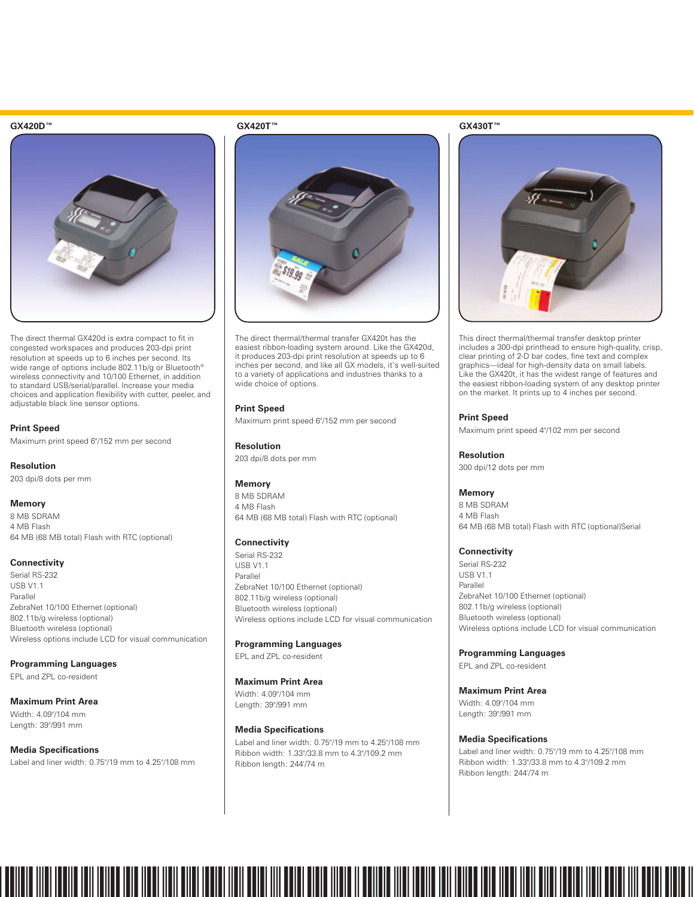

The direct thermal GX420d is extra compact to fit in congested workspaces and produces 203-dpi print resolution at speeds up to 6 inches per second. Its wide range of options include 802.11b/g or Bluetooth® wireless connectivity and 10/100 Ethernet, in addition to standard USB/serial/parallel. Increase your media choices and application flexibility with cutter, peeler, and adjustable black line sensor options.

#### **Print Speed**

Maximum print speed 6"/152 mm per second

**Resolution**

203 dpi/8 dots per mm

#### **Memory**

8 MB SDRAM 4 MB Flash 64 MB (68 MB total) Flash with RTC (optional)

## **Connectivity**

Serial RS-232 **USB V1.1** Parallel ZebraNet 10/100 Ethernet (optional) 802.11b/g wireless (optional) Bluetooth wireless (optional) Wireless options include LCD for visual communication

**Programming Languages**

EPL and ZPL co-resident

# **Maximum Print Area**

Width: 4.09"/104 mm Length: 39"/991 mm

#### **Media Specifications**

Label and liner width: 0.75"/19 mm to 4.25"/108 mm



The direct thermal/thermal transfer GX420t has the easiest ribbon-loading system around. Like the GX420d, it produces 203-dpi print resolution at speeds up to 6 inches per second, and like all GX models, it's well-suited to a variety of applications and industries thanks to a wide choice of options.

#### **Print Speed**

Maximum print speed 6"/152 mm per second

#### **Resolution**

203 dpi/8 dots per mm

#### **Memory**

8 MB SDRAM 4 MB Flash 64 MB (68 MB total) Flash with RTC (optional)

#### **Connectivity**

Serial RS-232 USB V1.1 Parallel ZebraNet 10/100 Ethernet (optional) 802.11b/g wireless (optional) Bluetooth wireless (optional) Wireless options include LCD for visual communication

#### **Programming Languages**

EPL and ZPL co-resident

#### **Maximum Print Area**

Width: 4.09"/104 mm Length: 39"/991 mm

#### **Media Specifications**

Label and liner width: 0.75"/19 mm to 4.25"/108 mm Ribbon width: 1.33"/33.8 mm to 4.3"/109.2 mm Ribbon length: 244'/74 m



This direct thermal/thermal transfer desktop printer includes a 300-dpi printhead to ensure high-quality, crisp, clear printing of 2-D bar codes, fine text and complex graphics—ideal for high-density data on small labels. Like the GX420t, it has the widest range of features and the easiest ribbon-loading system of any desktop printer on the market. It prints up to 4 inches per second.

#### **Print Speed**

Maximum print speed 4"/102 mm per second

**Resolution** 300 dpi/12 dots per mm

#### **Memory**

8 MB SDRAM 4 MB Flash 64 MB (68 MB total) Flash with RTC (optional)Serial

#### **Connectivity**

Serial RS-232 USB V1.1 Parallel ZebraNet 10/100 Ethernet (optional) 802.11b/g wireless (optional) Bluetooth wireless (optional) Wireless options include LCD for visual communication

**Programming Languages**

EPL and ZPL co-resident

**Maximum Print Area** Width: 4.09"/104 mm

Length: 39"/991 mm

#### **Media Specifications**

Label and liner width: 0.75"/19 mm to 4.25"/108 mm Ribbon width: 1.33"/33.8 mm to 4.3"/109.2 mm Ribbon length: 244'/74 m